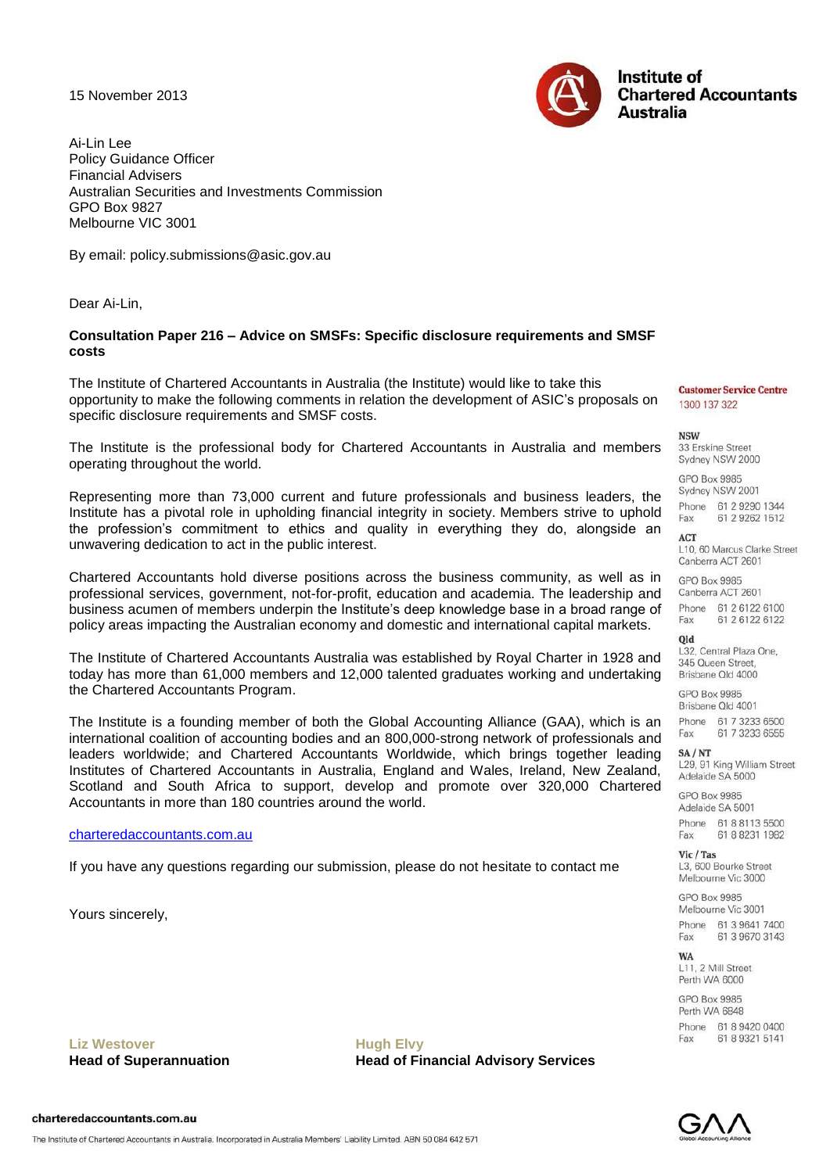15 November 2013



Ai-Lin Lee Policy Guidance Officer Financial Advisers Australian Securities and Investments Commission GPO Box 9827 Melbourne VIC 3001

By email: [policy.submissions@](mailto:strongersuper@treasury.gov.au?subject=)asic.gov.au

Dear Ai-Lin,

## **Consultation Paper 216 – Advice on SMSFs: Specific disclosure requirements and SMSF costs**

The Institute of Chartered Accountants in Australia (the Institute) would like to take this opportunity to make the following comments in relation the development of ASIC"s proposals on specific disclosure requirements and SMSF costs.

The Institute is the professional body for Chartered Accountants in Australia and members operating throughout the world.

Representing more than 73,000 current and future professionals and business leaders, the Institute has a pivotal role in upholding financial integrity in society. Members strive to uphold the profession"s commitment to ethics and quality in everything they do, alongside an unwavering dedication to act in the public interest.

Chartered Accountants hold diverse positions across the business community, as well as in professional services, government, not-for-profit, education and academia. The leadership and business acumen of members underpin the Institute"s deep knowledge base in a broad range of policy areas impacting the Australian economy and domestic and international capital markets.

The Institute of Chartered Accountants Australia was established by Royal Charter in 1928 and today has more than 61,000 members and 12,000 talented graduates working and undertaking the Chartered Accountants Program.

The Institute is a founding member of both the Global Accounting Alliance (GAA), which is an international coalition of accounting bodies and an 800,000-strong network of professionals and leaders worldwide; and Chartered Accountants Worldwide, which brings together leading Institutes of Chartered Accountants in Australia, England and Wales, Ireland, New Zealand, Scotland and South Africa to support, develop and promote over 320,000 Chartered Accountants in more than 180 countries around the world.

### [charteredaccountants.com.au](http://www.charteredaccountants.com.au/)

If you have any questions regarding our submission, please do not hesitate to contact me

Yours sincerely,

Liz Westover **Mugh Elvy** 

**Head of Superannuation Head of Financial Advisory Services** 

#### **Customer Service Centre** 1300 137 322

**NSW** 

33 Erskine Street Sydney NSW 2000

GPO Box 9985 Sydney NSW 2001 Phone 61 2 9290 1344 61 2 9262 1512 Fax

**ACT** L10, 60 Marcus Clarke Street Canberra ACT 2601

GPO Box 9985 Canberra ACT 2601

Phone 61 2 6122 6100 Fax 61 2 6122 6122

#### **blo**

L32, Central Plaza One. 345 Oueen Street Brisbane Old 4000

GPO Box 9985 Brisbane Old 4001

Phone 61 7 3233 6500 Fax 61 7 3233 6555

#### $SA/NT$

L29, 91 King William Street Adelaide SA 5000

GPO Box 9985 Adelaide SA 5001 Phone 61 8 8113 5500 61 8 8231 1982 Fax

Vic / Tas L3. 600 Bourke Street Melbourne Vic 3000

GPO Box 9985 Melbourne Vic 3001 Phone 61 3 9641 7400 61 3 9670 3143 Fax

**WA** 

L11, 2 Mill Street Perth WA 6000

GPO Box 9985 Perth WA 6848 Phone 61 8 9420 0400 61 8 9 3 2 1 5 1 4 1 **Fax** 



The Institute of Chartered Accountants in Australia. Incorporated in Australia Members' Liability Limited. ABN 50 084 642 571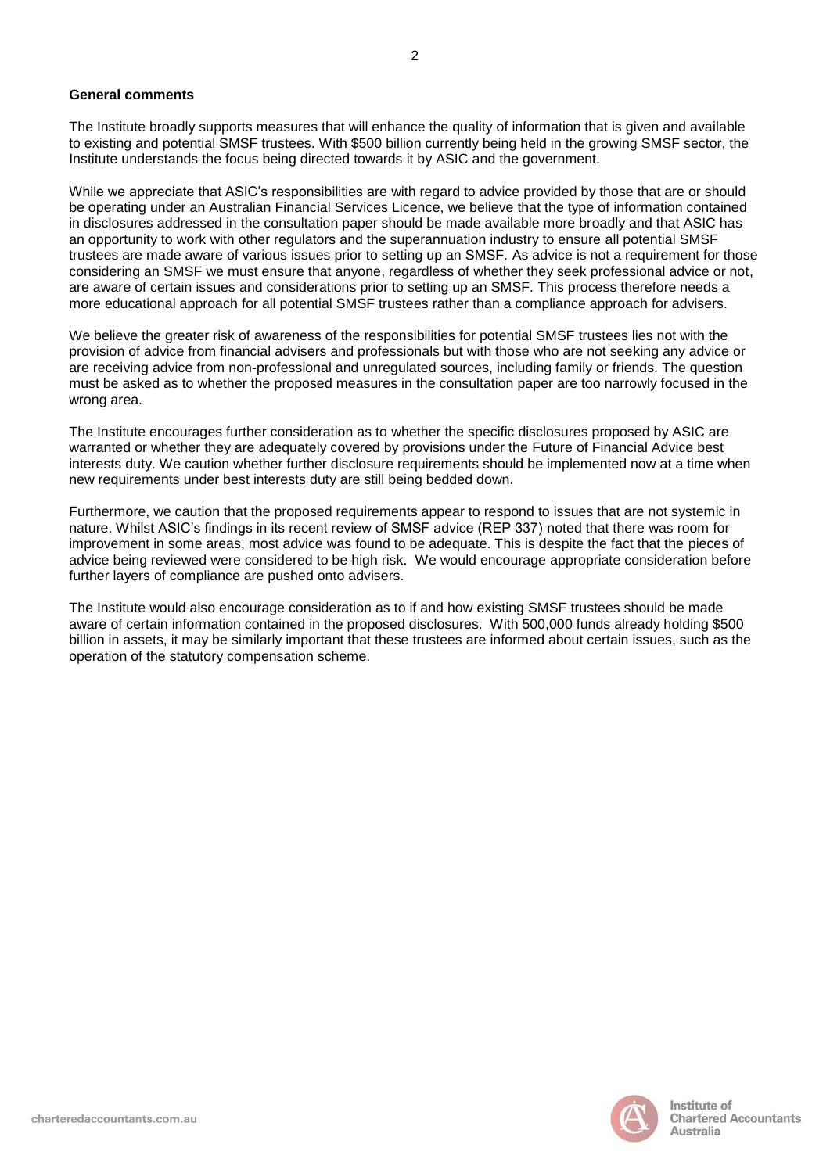#### **General comments**

The Institute broadly supports measures that will enhance the quality of information that is given and available to existing and potential SMSF trustees. With \$500 billion currently being held in the growing SMSF sector, the Institute understands the focus being directed towards it by ASIC and the government.

2

While we appreciate that ASIC"s responsibilities are with regard to advice provided by those that are or should be operating under an Australian Financial Services Licence, we believe that the type of information contained in disclosures addressed in the consultation paper should be made available more broadly and that ASIC has an opportunity to work with other regulators and the superannuation industry to ensure all potential SMSF trustees are made aware of various issues prior to setting up an SMSF. As advice is not a requirement for those considering an SMSF we must ensure that anyone, regardless of whether they seek professional advice or not, are aware of certain issues and considerations prior to setting up an SMSF. This process therefore needs a more educational approach for all potential SMSF trustees rather than a compliance approach for advisers.

We believe the greater risk of awareness of the responsibilities for potential SMSF trustees lies not with the provision of advice from financial advisers and professionals but with those who are not seeking any advice or are receiving advice from non-professional and unregulated sources, including family or friends. The question must be asked as to whether the proposed measures in the consultation paper are too narrowly focused in the wrong area.

The Institute encourages further consideration as to whether the specific disclosures proposed by ASIC are warranted or whether they are adequately covered by provisions under the Future of Financial Advice best interests duty. We caution whether further disclosure requirements should be implemented now at a time when new requirements under best interests duty are still being bedded down.

Furthermore, we caution that the proposed requirements appear to respond to issues that are not systemic in nature. Whilst ASIC"s findings in its recent review of SMSF advice (REP 337) noted that there was room for improvement in some areas, most advice was found to be adequate. This is despite the fact that the pieces of advice being reviewed were considered to be high risk. We would encourage appropriate consideration before further layers of compliance are pushed onto advisers.

The Institute would also encourage consideration as to if and how existing SMSF trustees should be made aware of certain information contained in the proposed disclosures. With 500,000 funds already holding \$500 billion in assets, it may be similarly important that these trustees are informed about certain issues, such as the operation of the statutory compensation scheme.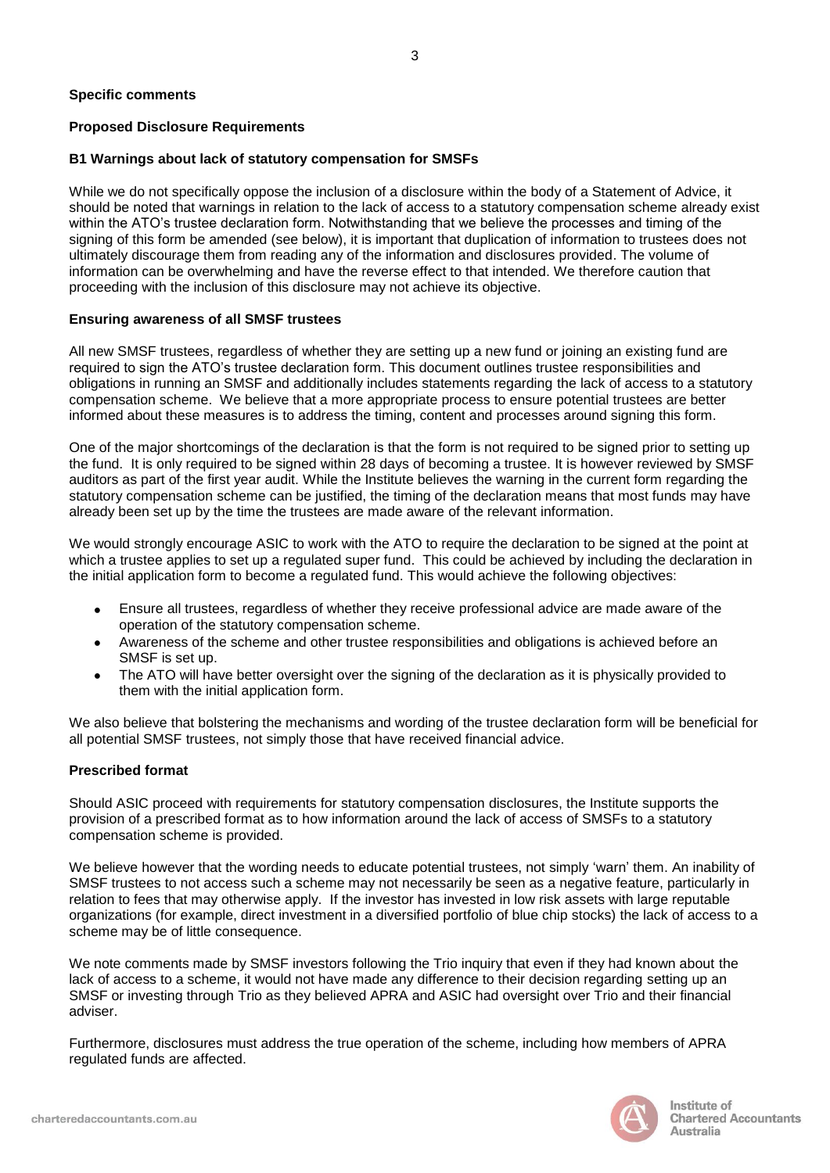# **Proposed Disclosure Requirements**

# **B1 Warnings about lack of statutory compensation for SMSFs**

While we do not specifically oppose the inclusion of a disclosure within the body of a Statement of Advice, it should be noted that warnings in relation to the lack of access to a statutory compensation scheme already exist within the ATO"s trustee declaration form. Notwithstanding that we believe the processes and timing of the signing of this form be amended (see below), it is important that duplication of information to trustees does not ultimately discourage them from reading any of the information and disclosures provided. The volume of information can be overwhelming and have the reverse effect to that intended. We therefore caution that proceeding with the inclusion of this disclosure may not achieve its objective.

# **Ensuring awareness of all SMSF trustees**

All new SMSF trustees, regardless of whether they are setting up a new fund or joining an existing fund are required to sign the ATO"s trustee declaration form. This document outlines trustee responsibilities and obligations in running an SMSF and additionally includes statements regarding the lack of access to a statutory compensation scheme. We believe that a more appropriate process to ensure potential trustees are better informed about these measures is to address the timing, content and processes around signing this form.

One of the major shortcomings of the declaration is that the form is not required to be signed prior to setting up the fund. It is only required to be signed within 28 days of becoming a trustee. It is however reviewed by SMSF auditors as part of the first year audit. While the Institute believes the warning in the current form regarding the statutory compensation scheme can be justified, the timing of the declaration means that most funds may have already been set up by the time the trustees are made aware of the relevant information.

We would strongly encourage ASIC to work with the ATO to require the declaration to be signed at the point at which a trustee applies to set up a regulated super fund. This could be achieved by including the declaration in the initial application form to become a regulated fund. This would achieve the following objectives:

- Ensure all trustees, regardless of whether they receive professional advice are made aware of the operation of the statutory compensation scheme.
- Awareness of the scheme and other trustee responsibilities and obligations is achieved before an  $\bullet$ SMSF is set up.
- The ATO will have better oversight over the signing of the declaration as it is physically provided to  $\bullet$ them with the initial application form.

We also believe that bolstering the mechanisms and wording of the trustee declaration form will be beneficial for all potential SMSF trustees, not simply those that have received financial advice.

# **Prescribed format**

Should ASIC proceed with requirements for statutory compensation disclosures, the Institute supports the provision of a prescribed format as to how information around the lack of access of SMSFs to a statutory compensation scheme is provided.

We believe however that the wording needs to educate potential trustees, not simply "warn" them. An inability of SMSF trustees to not access such a scheme may not necessarily be seen as a negative feature, particularly in relation to fees that may otherwise apply. If the investor has invested in low risk assets with large reputable organizations (for example, direct investment in a diversified portfolio of blue chip stocks) the lack of access to a scheme may be of little consequence.

We note comments made by SMSF investors following the Trio inquiry that even if they had known about the lack of access to a scheme, it would not have made any difference to their decision regarding setting up an SMSF or investing through Trio as they believed APRA and ASIC had oversight over Trio and their financial adviser.

Furthermore, disclosures must address the true operation of the scheme, including how members of APRA regulated funds are affected.

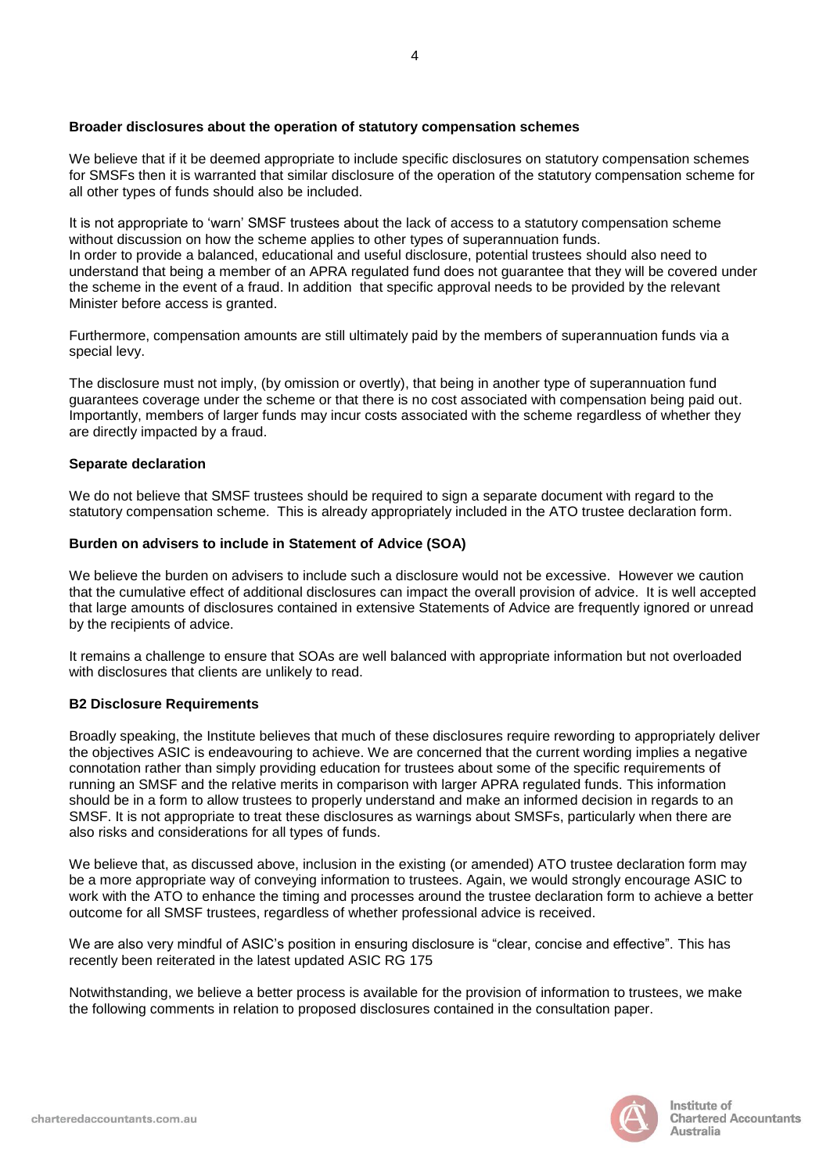## **Broader disclosures about the operation of statutory compensation schemes**

We believe that if it be deemed appropriate to include specific disclosures on statutory compensation schemes for SMSFs then it is warranted that similar disclosure of the operation of the statutory compensation scheme for all other types of funds should also be included.

It is not appropriate to "warn" SMSF trustees about the lack of access to a statutory compensation scheme without discussion on how the scheme applies to other types of superannuation funds. In order to provide a balanced, educational and useful disclosure, potential trustees should also need to understand that being a member of an APRA regulated fund does not guarantee that they will be covered under the scheme in the event of a fraud. In addition that specific approval needs to be provided by the relevant Minister before access is granted.

Furthermore, compensation amounts are still ultimately paid by the members of superannuation funds via a special levy.

The disclosure must not imply, (by omission or overtly), that being in another type of superannuation fund guarantees coverage under the scheme or that there is no cost associated with compensation being paid out. Importantly, members of larger funds may incur costs associated with the scheme regardless of whether they are directly impacted by a fraud.

## **Separate declaration**

We do not believe that SMSF trustees should be required to sign a separate document with regard to the statutory compensation scheme. This is already appropriately included in the ATO trustee declaration form.

## **Burden on advisers to include in Statement of Advice (SOA)**

We believe the burden on advisers to include such a disclosure would not be excessive. However we caution that the cumulative effect of additional disclosures can impact the overall provision of advice. It is well accepted that large amounts of disclosures contained in extensive Statements of Advice are frequently ignored or unread by the recipients of advice.

It remains a challenge to ensure that SOAs are well balanced with appropriate information but not overloaded with disclosures that clients are unlikely to read.

# **B2 Disclosure Requirements**

Broadly speaking, the Institute believes that much of these disclosures require rewording to appropriately deliver the objectives ASIC is endeavouring to achieve. We are concerned that the current wording implies a negative connotation rather than simply providing education for trustees about some of the specific requirements of running an SMSF and the relative merits in comparison with larger APRA regulated funds. This information should be in a form to allow trustees to properly understand and make an informed decision in regards to an SMSF. It is not appropriate to treat these disclosures as warnings about SMSFs, particularly when there are also risks and considerations for all types of funds.

We believe that, as discussed above, inclusion in the existing (or amended) ATO trustee declaration form may be a more appropriate way of conveying information to trustees. Again, we would strongly encourage ASIC to work with the ATO to enhance the timing and processes around the trustee declaration form to achieve a better outcome for all SMSF trustees, regardless of whether professional advice is received.

We are also very mindful of ASIC's position in ensuring disclosure is "clear, concise and effective". This has recently been reiterated in the latest updated ASIC RG 175

Notwithstanding, we believe a better process is available for the provision of information to trustees, we make the following comments in relation to proposed disclosures contained in the consultation paper.

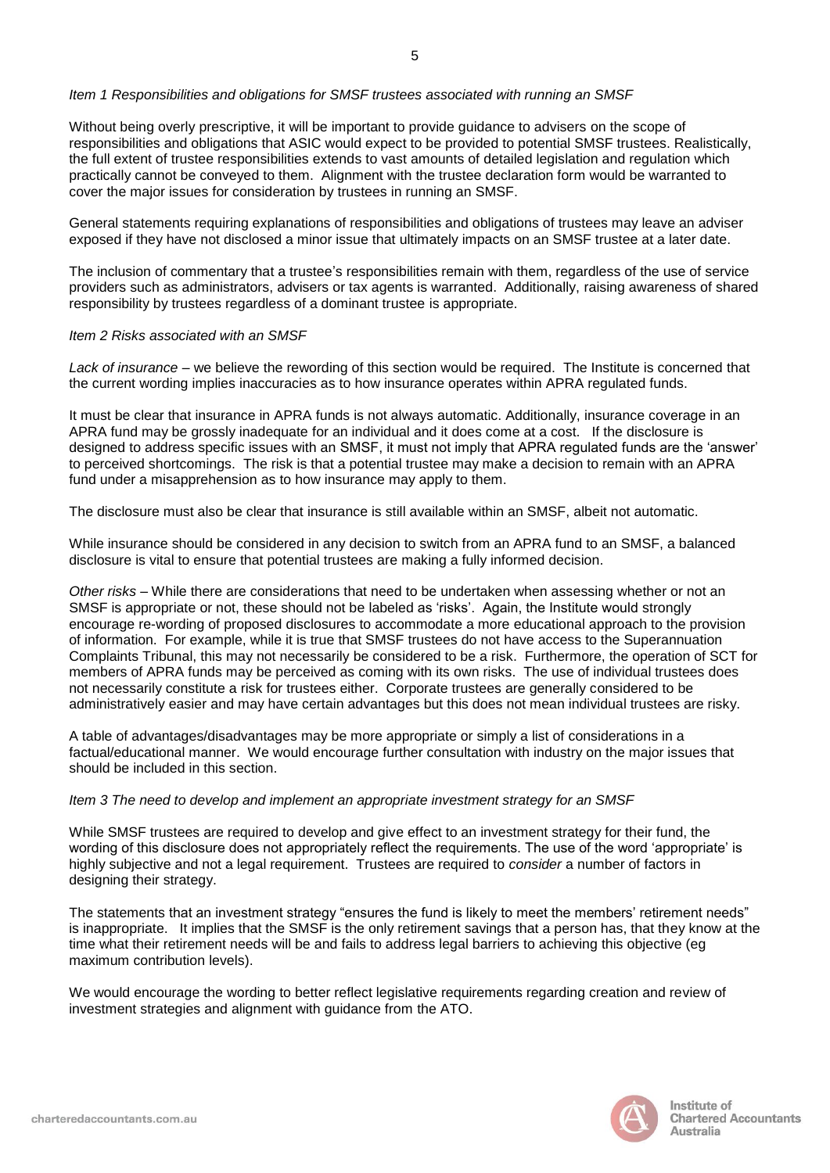### *Item 1 Responsibilities and obligations for SMSF trustees associated with running an SMSF*

Without being overly prescriptive, it will be important to provide guidance to advisers on the scope of responsibilities and obligations that ASIC would expect to be provided to potential SMSF trustees. Realistically, the full extent of trustee responsibilities extends to vast amounts of detailed legislation and regulation which practically cannot be conveyed to them. Alignment with the trustee declaration form would be warranted to cover the major issues for consideration by trustees in running an SMSF.

General statements requiring explanations of responsibilities and obligations of trustees may leave an adviser exposed if they have not disclosed a minor issue that ultimately impacts on an SMSF trustee at a later date.

The inclusion of commentary that a trustee"s responsibilities remain with them, regardless of the use of service providers such as administrators, advisers or tax agents is warranted. Additionally, raising awareness of shared responsibility by trustees regardless of a dominant trustee is appropriate.

### *Item 2 Risks associated with an SMSF*

*Lack of insurance* – we believe the rewording of this section would be required. The Institute is concerned that the current wording implies inaccuracies as to how insurance operates within APRA regulated funds.

It must be clear that insurance in APRA funds is not always automatic. Additionally, insurance coverage in an APRA fund may be grossly inadequate for an individual and it does come at a cost. If the disclosure is designed to address specific issues with an SMSF, it must not imply that APRA regulated funds are the "answer" to perceived shortcomings. The risk is that a potential trustee may make a decision to remain with an APRA fund under a misapprehension as to how insurance may apply to them.

The disclosure must also be clear that insurance is still available within an SMSF, albeit not automatic.

While insurance should be considered in any decision to switch from an APRA fund to an SMSF, a balanced disclosure is vital to ensure that potential trustees are making a fully informed decision.

*Other risks* – While there are considerations that need to be undertaken when assessing whether or not an SMSF is appropriate or not, these should not be labeled as 'risks'. Again, the Institute would strongly encourage re-wording of proposed disclosures to accommodate a more educational approach to the provision of information. For example, while it is true that SMSF trustees do not have access to the Superannuation Complaints Tribunal, this may not necessarily be considered to be a risk. Furthermore, the operation of SCT for members of APRA funds may be perceived as coming with its own risks. The use of individual trustees does not necessarily constitute a risk for trustees either. Corporate trustees are generally considered to be administratively easier and may have certain advantages but this does not mean individual trustees are risky.

A table of advantages/disadvantages may be more appropriate or simply a list of considerations in a factual/educational manner. We would encourage further consultation with industry on the major issues that should be included in this section.

# *Item 3 The need to develop and implement an appropriate investment strategy for an SMSF*

While SMSF trustees are required to develop and give effect to an investment strategy for their fund, the wording of this disclosure does not appropriately reflect the requirements. The use of the word "appropriate" is highly subjective and not a legal requirement. Trustees are required to *consider* a number of factors in designing their strategy.

The statements that an investment strategy "ensures the fund is likely to meet the members' retirement needs" is inappropriate. It implies that the SMSF is the only retirement savings that a person has, that they know at the time what their retirement needs will be and fails to address legal barriers to achieving this objective (eg maximum contribution levels).

We would encourage the wording to better reflect legislative requirements regarding creation and review of investment strategies and alignment with guidance from the ATO.

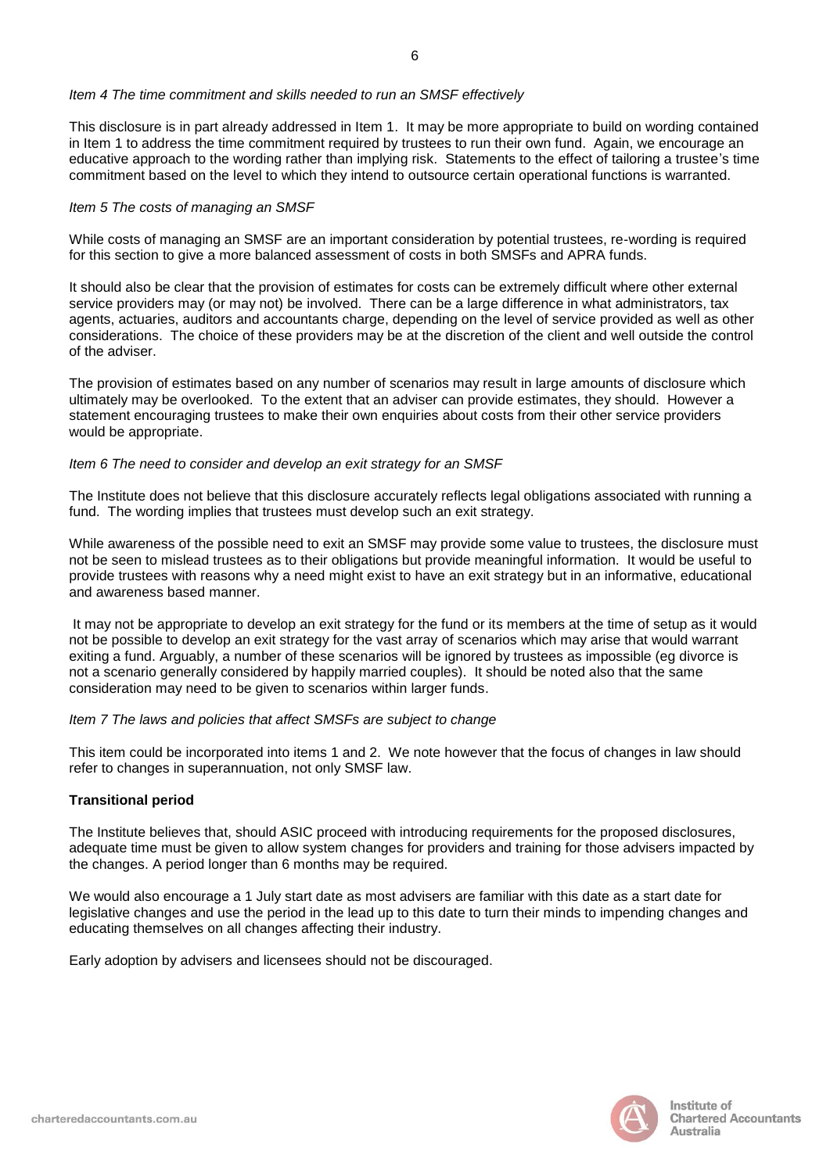### *Item 4 The time commitment and skills needed to run an SMSF effectively*

This disclosure is in part already addressed in Item 1. It may be more appropriate to build on wording contained in Item 1 to address the time commitment required by trustees to run their own fund. Again, we encourage an educative approach to the wording rather than implying risk. Statements to the effect of tailoring a trustee"s time commitment based on the level to which they intend to outsource certain operational functions is warranted.

### *Item 5 The costs of managing an SMSF*

While costs of managing an SMSF are an important consideration by potential trustees, re-wording is required for this section to give a more balanced assessment of costs in both SMSFs and APRA funds.

It should also be clear that the provision of estimates for costs can be extremely difficult where other external service providers may (or may not) be involved. There can be a large difference in what administrators, tax agents, actuaries, auditors and accountants charge, depending on the level of service provided as well as other considerations. The choice of these providers may be at the discretion of the client and well outside the control of the adviser.

The provision of estimates based on any number of scenarios may result in large amounts of disclosure which ultimately may be overlooked. To the extent that an adviser can provide estimates, they should. However a statement encouraging trustees to make their own enquiries about costs from their other service providers would be appropriate.

## *Item 6 The need to consider and develop an exit strategy for an SMSF*

The Institute does not believe that this disclosure accurately reflects legal obligations associated with running a fund. The wording implies that trustees must develop such an exit strategy.

While awareness of the possible need to exit an SMSF may provide some value to trustees, the disclosure must not be seen to mislead trustees as to their obligations but provide meaningful information. It would be useful to provide trustees with reasons why a need might exist to have an exit strategy but in an informative, educational and awareness based manner.

It may not be appropriate to develop an exit strategy for the fund or its members at the time of setup as it would not be possible to develop an exit strategy for the vast array of scenarios which may arise that would warrant exiting a fund. Arguably, a number of these scenarios will be ignored by trustees as impossible (eg divorce is not a scenario generally considered by happily married couples). It should be noted also that the same consideration may need to be given to scenarios within larger funds.

# *Item 7 The laws and policies that affect SMSFs are subject to change*

This item could be incorporated into items 1 and 2. We note however that the focus of changes in law should refer to changes in superannuation, not only SMSF law.

# **Transitional period**

The Institute believes that, should ASIC proceed with introducing requirements for the proposed disclosures, adequate time must be given to allow system changes for providers and training for those advisers impacted by the changes. A period longer than 6 months may be required.

We would also encourage a 1 July start date as most advisers are familiar with this date as a start date for legislative changes and use the period in the lead up to this date to turn their minds to impending changes and educating themselves on all changes affecting their industry.

Early adoption by advisers and licensees should not be discouraged.